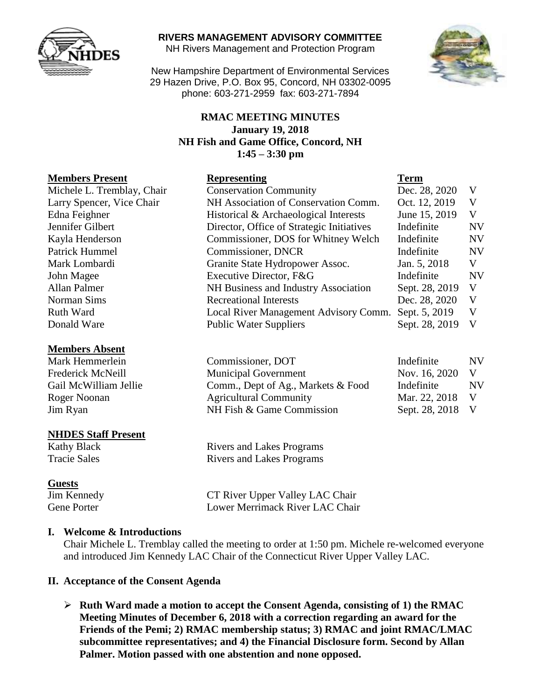

#### **RIVERS MANAGEMENT ADVISORY COMMITTEE**

NH Rivers Management and Protection Program

New Hampshire Department of Environmental Services 29 Hazen Drive, P.O. Box 95, Concord, NH 03302-0095 phone: 603-271-2959 fax: 603-271-7894

#### **RMAC MEETING MINUTES January 19, 2018 NH Fish and Game Office, Concord, NH 1:45 – 3:30 pm**

#### **Members Present**

#### **Members Absent**

#### **NHDES Staff Present**

#### **Guests**

Kathy Black Rivers and Lakes Programs Tracie Sales Rivers and Lakes Programs

Jim Kennedy CT River Upper Valley LAC Chair Gene Porter Lower Merrimack River LAC Chair

#### **I. Welcome & Introductions**

Chair Michele L. Tremblay called the meeting to order at 1:50 pm. Michele re-welcomed everyone and introduced Jim Kennedy LAC Chair of the Connecticut River Upper Valley LAC.

#### **II. Acceptance of the Consent Agenda**

 **Ruth Ward made a motion to accept the Consent Agenda, consisting of 1) the RMAC Meeting Minutes of December 6, 2018 with a correction regarding an award for the Friends of the Pemi; 2) RMAC membership status; 3) RMAC and joint RMAC/LMAC subcommittee representatives; and 4) the Financial Disclosure form. Second by Allan Palmer. Motion passed with one abstention and none opposed.** 



| <b>Members Present</b>                                      | <b>Representing</b>                       | <b>Term</b>    |           |
|-------------------------------------------------------------|-------------------------------------------|----------------|-----------|
| Michele L. Tremblay, Chair<br><b>Conservation Community</b> |                                           | Dec. 28, 2020  | V         |
| Larry Spencer, Vice Chair                                   | NH Association of Conservation Comm.      | Oct. 12, 2019  | V         |
| Edna Feighner                                               | Historical & Archaeological Interests     | June 15, 2019  | V         |
| Jennifer Gilbert                                            | Director, Office of Strategic Initiatives |                | <b>NV</b> |
| Kayla Henderson                                             | Commissioner, DOS for Whitney Welch       |                | <b>NV</b> |
| Patrick Hummel                                              | Commissioner, DNCR                        |                | <b>NV</b> |
| Mark Lombardi                                               | Granite State Hydropower Assoc.           | Jan. 5, 2018   | V         |
| John Magee                                                  | Executive Director, F&G                   | Indefinite     | <b>NV</b> |
| Allan Palmer                                                | NH Business and Industry Association      | Sept. 28, 2019 | V         |
| Norman Sims                                                 | <b>Recreational Interests</b>             | Dec. 28, 2020  | V         |
| <b>Ruth Ward</b>                                            | Local River Management Advisory Comm.     | Sept. 5, 2019  | V         |
| Donald Ware                                                 | <b>Public Water Suppliers</b>             | Sept. 28, 2019 | V         |

| Mark Hemmerlein       | Commissioner, DOT                  | Indefinite       | <b>NV</b> |
|-----------------------|------------------------------------|------------------|-----------|
| Frederick McNeill     | <b>Municipal Government</b>        | Nov. 16, 2020 V  |           |
| Gail McWilliam Jellie | Comm., Dept of Ag., Markets & Food | Indefinite       | NV.       |
| Roger Noonan          | <b>Agricultural Community</b>      | Mar. 22, 2018 V  |           |
| Jim Ryan              | NH Fish & Game Commission          | Sept. 28, 2018 V |           |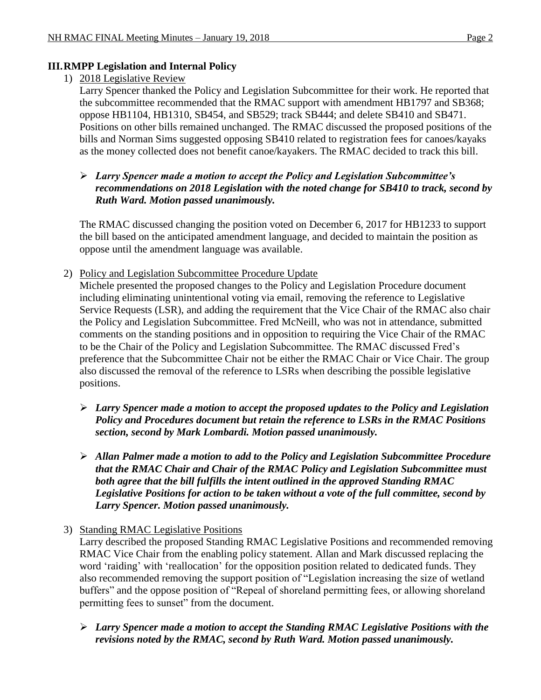#### **III.RMPP Legislation and Internal Policy**

#### 1) 2018 Legislative Review

Larry Spencer thanked the Policy and Legislation Subcommittee for their work. He reported that the subcommittee recommended that the RMAC support with amendment HB1797 and SB368; oppose HB1104, HB1310, SB454, and SB529; track SB444; and delete SB410 and SB471. Positions on other bills remained unchanged. The RMAC discussed the proposed positions of the bills and Norman Sims suggested opposing SB410 related to registration fees for canoes/kayaks as the money collected does not benefit canoe/kayakers. The RMAC decided to track this bill.

### *Larry Spencer made a motion to accept the Policy and Legislation Subcommittee's recommendations on 2018 Legislation with the noted change for SB410 to track, second by Ruth Ward. Motion passed unanimously.*

The RMAC discussed changing the position voted on December 6, 2017 for HB1233 to support the bill based on the anticipated amendment language, and decided to maintain the position as oppose until the amendment language was available.

2) Policy and Legislation Subcommittee Procedure Update

Michele presented the proposed changes to the Policy and Legislation Procedure document including eliminating unintentional voting via email, removing the reference to Legislative Service Requests (LSR), and adding the requirement that the Vice Chair of the RMAC also chair the Policy and Legislation Subcommittee. Fred McNeill, who was not in attendance, submitted comments on the standing positions and in opposition to requiring the Vice Chair of the RMAC to be the Chair of the Policy and Legislation Subcommittee. The RMAC discussed Fred's preference that the Subcommittee Chair not be either the RMAC Chair or Vice Chair. The group also discussed the removal of the reference to LSRs when describing the possible legislative positions.

- *Larry Spencer made a motion to accept the proposed updates to the Policy and Legislation Policy and Procedures document but retain the reference to LSRs in the RMAC Positions section, second by Mark Lombardi. Motion passed unanimously.*
- *Allan Palmer made a motion to add to the Policy and Legislation Subcommittee Procedure that the RMAC Chair and Chair of the RMAC Policy and Legislation Subcommittee must both agree that the bill fulfills the intent outlined in the approved Standing RMAC Legislative Positions for action to be taken without a vote of the full committee, second by Larry Spencer. Motion passed unanimously.*
- 3) Standing RMAC Legislative Positions

Larry described the proposed Standing RMAC Legislative Positions and recommended removing RMAC Vice Chair from the enabling policy statement. Allan and Mark discussed replacing the word 'raiding' with 'reallocation' for the opposition position related to dedicated funds. They also recommended removing the support position of "Legislation increasing the size of wetland buffers" and the oppose position of "Repeal of shoreland permitting fees, or allowing shoreland permitting fees to sunset" from the document.

 *Larry Spencer made a motion to accept the Standing RMAC Legislative Positions with the revisions noted by the RMAC, second by Ruth Ward. Motion passed unanimously.*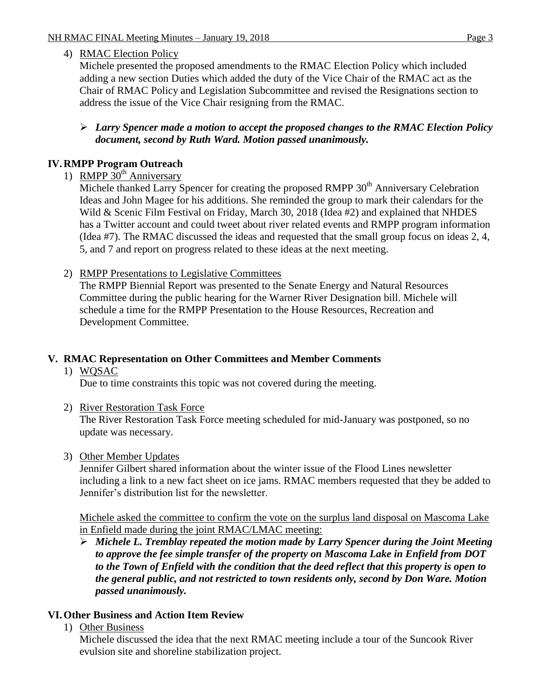## 4) RMAC Election Policy

Michele presented the proposed amendments to the RMAC Election Policy which included adding a new section Duties which added the duty of the Vice Chair of the RMAC act as the Chair of RMAC Policy and Legislation Subcommittee and revised the Resignations section to address the issue of the Vice Chair resigning from the RMAC.

### *Larry Spencer made a motion to accept the proposed changes to the RMAC Election Policy document, second by Ruth Ward. Motion passed unanimously.*

# **IV.RMPP Program Outreach**

1) RMPP  $30^{th}$  Anniversary

Michele thanked Larry Spencer for creating the proposed RMPP 30<sup>th</sup> Anniversary Celebration Ideas and John Magee for his additions. She reminded the group to mark their calendars for the Wild & Scenic Film Festival on Friday, March 30, 2018 (Idea #2) and explained that NHDES has a Twitter account and could tweet about river related events and RMPP program information (Idea #7). The RMAC discussed the ideas and requested that the small group focus on ideas 2, 4, 5, and 7 and report on progress related to these ideas at the next meeting.

2) RMPP Presentations to Legislative Committees

The RMPP Biennial Report was presented to the Senate Energy and Natural Resources Committee during the public hearing for the Warner River Designation bill. Michele will schedule a time for the RMPP Presentation to the House Resources, Recreation and Development Committee.

# **V. RMAC Representation on Other Committees and Member Comments**

### 1) WQSAC

Due to time constraints this topic was not covered during the meeting.

2) River Restoration Task Force

The River Restoration Task Force meeting scheduled for mid-January was postponed, so no update was necessary.

## 3) Other Member Updates

Jennifer Gilbert shared information about the winter issue of the Flood Lines newsletter including a link to a new fact sheet on ice jams. RMAC members requested that they be added to Jennifer's distribution list for the newsletter.

Michele asked the committee to confirm the vote on the surplus land disposal on Mascoma Lake in Enfield made during the joint RMAC/LMAC meeting:

 *Michele L. Tremblay repeated the motion made by Larry Spencer during the Joint Meeting to approve the fee simple transfer of the property on Mascoma Lake in Enfield from DOT to the Town of Enfield with the condition that the deed reflect that this property is open to the general public, and not restricted to town residents only, second by Don Ware. Motion passed unanimously.*

# **VI.Other Business and Action Item Review**

1) Other Business

Michele discussed the idea that the next RMAC meeting include a tour of the Suncook River evulsion site and shoreline stabilization project.